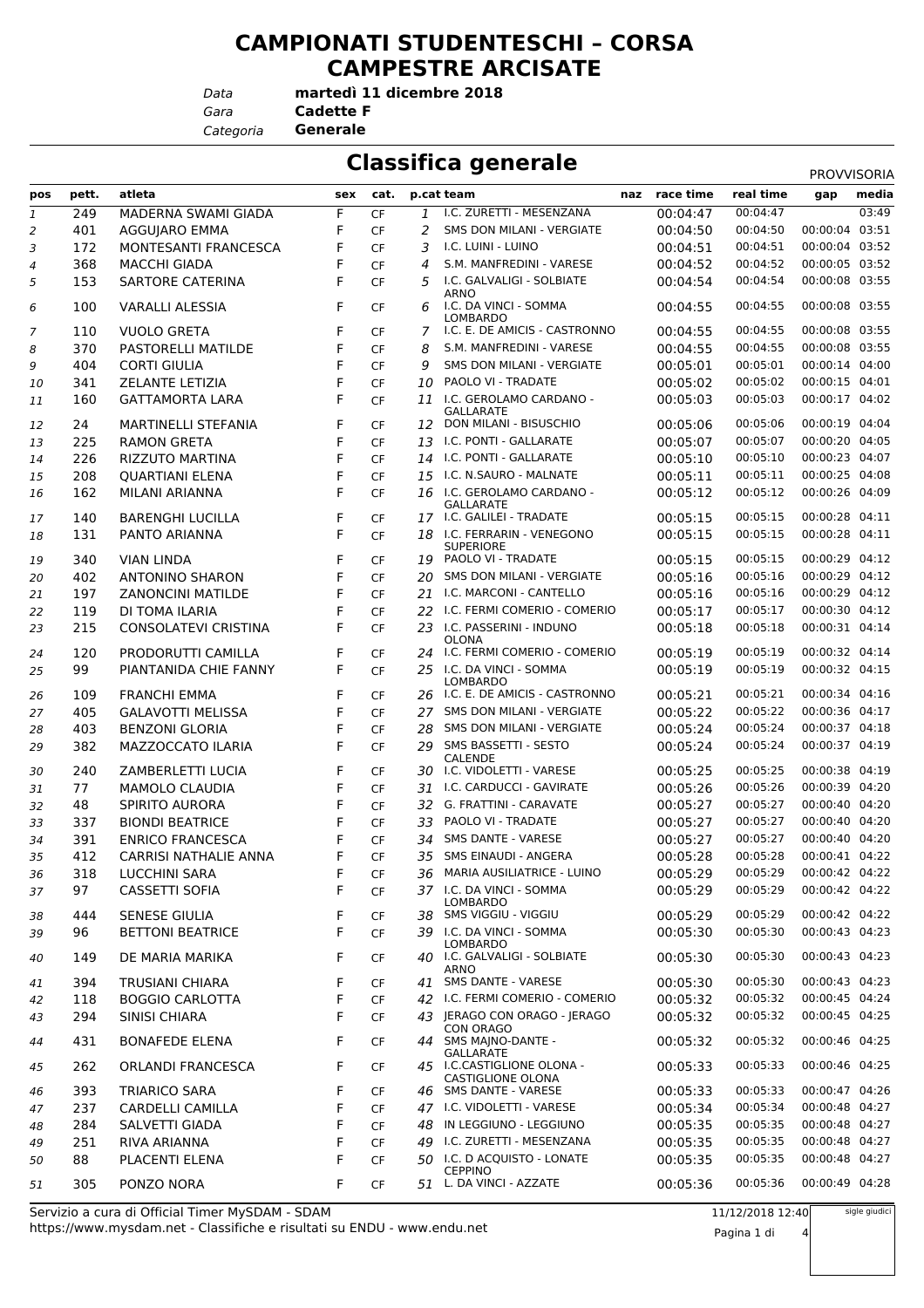## **CAMPIONATI STUDENTESCHI – CORSA CAMPESTRE ARCISATE**

*Data*

*Gara* **Cadette F**

*Categoria* **Generale**

**Classifica generale** 

**martedì 11 dicembre 2018**

|              |       |                                                 |     |           |    |                                                                                 |     |           |                  | PROVVISORIA                      |                |
|--------------|-------|-------------------------------------------------|-----|-----------|----|---------------------------------------------------------------------------------|-----|-----------|------------------|----------------------------------|----------------|
| pos          | pett. | atleta                                          | sex | cat.      |    | p.cat team                                                                      | naz | race time | real time        | gap                              | media<br>03:49 |
| $\mathbf{1}$ | 249   | MADERNA SWAMI GIADA                             | F   | <b>CF</b> | 1  | I.C. ZURETTI - MESENZANA                                                        |     | 00:04:47  | 00:04:47         |                                  |                |
| 2            | 401   | AGGUJARO EMMA                                   | F   | <b>CF</b> | 2  | SMS DON MILANI - VERGIATE                                                       |     | 00:04:50  | 00:04:50         | 00:00:04                         | 03:51          |
| 3            | 172   | MONTESANTI FRANCESCA                            | F   | CF        | 3  | I.C. LUINI - LUINO                                                              |     | 00:04:51  | 00:04:51         | 00:00:04 03:52                   |                |
| 4            | 368   | <b>MACCHI GIADA</b>                             | F   | <b>CF</b> | 4  | S.M. MANFREDINI - VARESE                                                        |     | 00:04:52  | 00:04:52         | 00:00:05 03:52                   |                |
| 5            | 153   | <b>SARTORE CATERINA</b>                         | F   | <b>CF</b> | 5  | I.C. GALVALIGI - SOLBIATE<br><b>ARNO</b>                                        |     | 00:04:54  | 00:04:54         | 00:00:08 03:55                   |                |
| 6            | 100   | <b>VARALLI ALESSIA</b>                          | F   | CF        | 6  | I.C. DA VINCI - SOMMA<br>LOMBARDO                                               |     | 00:04:55  | 00:04:55         | 00:00:08 03:55                   |                |
| 7            | 110   | <b>VUOLO GRETA</b>                              | F   | <b>CF</b> | 7  | I.C. E. DE AMICIS - CASTRONNO                                                   |     | 00:04:55  | 00:04:55         | 00:00:08 03:55                   |                |
| 8            | 370   | PASTORELLI MATILDE                              | F   | <b>CF</b> | 8  | S.M. MANFREDINI - VARESE                                                        |     | 00:04:55  | 00:04:55         | 00:00:08 03:55                   |                |
| 9            | 404   | <b>CORTI GIULIA</b>                             | F   | <b>CF</b> | 9  | SMS DON MILANI - VERGIATE                                                       |     | 00:05:01  | 00:05:01         | 00:00:14 04:00                   |                |
| 10           | 341   | <b>ZELANTE LETIZIA</b>                          | F   | <b>CF</b> | 10 | PAOLO VI - TRADATE                                                              |     | 00:05:02  | 00:05:02         | 00:00:15 04:01                   |                |
| 11           | 160   | <b>GATTAMORTA LARA</b>                          | F   | <b>CF</b> | 11 | I.C. GEROLAMO CARDANO -<br>GALLARATE                                            |     | 00:05:03  | 00:05:03         | 00:00:17 04:02                   |                |
| 12           | 24    | <b>MARTINELLI STEFANIA</b>                      | F   | <b>CF</b> | 12 | DON MILANI - BISUSCHIO                                                          |     | 00:05:06  | 00:05:06         | 00:00:19 04:04                   |                |
| 13           | 225   | <b>RAMON GRETA</b>                              | F   | <b>CF</b> |    | 13 I.C. PONTI - GALLARATE                                                       |     | 00:05:07  | 00:05:07         | 00:00:20 04:05                   |                |
| 14           | 226   | <b>RIZZUTO MARTINA</b>                          | F   | <b>CF</b> |    | 14 I.C. PONTI - GALLARATE                                                       |     | 00:05:10  | 00:05:10         | 00:00:23 04:07                   |                |
| 15           | 208   | <b>QUARTIANI ELENA</b>                          | F   | <b>CF</b> |    | 15 I.C. N.SAURO - MALNATE                                                       |     | 00:05:11  | 00:05:11         | 00:00:25 04:08                   |                |
| 16           | 162   | MILANI ARIANNA                                  | F   | <b>CF</b> |    | 16 I.C. GEROLAMO CARDANO -                                                      |     | 00:05:12  | 00:05:12         | 00:00:26 04:09                   |                |
| 17           | 140   | <b>BARENGHI LUCILLA</b>                         | F   | <b>CF</b> |    | <b>GALLARATE</b><br>17 I.C. GALILEI - TRADATE                                   |     | 00:05:15  | 00:05:15         | 00:00:28 04:11                   |                |
| 18           | 131   | PANTO ARIANNA                                   | F   | <b>CF</b> | 18 | I.C. FERRARIN - VENEGONO                                                        |     | 00:05:15  | 00:05:15         | 00:00:28 04:11                   |                |
| 19           | 340   | <b>VIAN LINDA</b>                               | F   | <b>CF</b> | 19 | <b>SUPERIORE</b><br>PAOLO VI - TRADATE                                          |     | 00:05:15  | 00:05:15         | 00:00:29 04:12                   |                |
| 20           | 402   | <b>ANTONINO SHARON</b>                          | F   | <b>CF</b> | 20 | SMS DON MILANI - VERGIATE                                                       |     | 00:05:16  | 00:05:16         | 00:00:29 04:12                   |                |
| 21           | 197   | <b>ZANONCINI MATILDE</b>                        | F   | <b>CF</b> | 21 | I.C. MARCONI - CANTELLO                                                         |     | 00:05:16  | 00:05:16         | 00:00:29 04:12                   |                |
| 22           | 119   | DI TOMA ILARIA                                  | F   | <b>CF</b> | 22 | I.C. FERMI COMERIO - COMERIO                                                    |     | 00:05:17  | 00:05:17         | 00:00:30 04:12                   |                |
| 23           | 215   | <b>CONSOLATEVI CRISTINA</b>                     | F   | <b>CF</b> |    | 23 I.C. PASSERINI - INDUNO                                                      |     | 00:05:18  | 00:05:18         | 00:00:31 04:14                   |                |
| 24           | 120   | PRODORUTTI CAMILLA                              | F   | <b>CF</b> |    | <b>OLONA</b><br>24 I.C. FERMI COMERIO - COMERIO                                 |     | 00:05:19  | 00:05:19         | 00:00:32 04:14                   |                |
| 25           | 99    | PIANTANIDA CHIE FANNY                           | F   | <b>CF</b> |    | 25 I.C. DA VINCI - SOMMA<br><b>LOMBARDO</b>                                     |     | 00:05:19  | 00:05:19         | 00:00:32 04:15                   |                |
| 26           | 109   | <b>FRANCHI EMMA</b>                             | F   | <b>CF</b> |    | 26 I.C. E. DE AMICIS - CASTRONNO                                                |     | 00:05:21  | 00:05:21         | 00:00:34 04:16                   |                |
| 27           | 405   | <b>GALAVOTTI MELISSA</b>                        | F   | <b>CF</b> | 27 | <b>SMS DON MILANI - VERGIATE</b>                                                |     | 00:05:22  | 00:05:22         | 00:00:36 04:17                   |                |
| 28           | 403   | <b>BENZONI GLORIA</b>                           | F   | <b>CF</b> | 28 | SMS DON MILANI - VERGIATE                                                       |     | 00:05:24  | 00:05:24         | 00:00:37 04:18                   |                |
| 29           | 382   | MAZZOCCATO ILARIA                               | F   | <b>CF</b> | 29 | SMS BASSETTI - SESTO                                                            |     | 00:05:24  | 00:05:24         | 00:00:37 04:19                   |                |
| 30           | 240   | ZAMBERLETTI LUCIA                               | F   | <b>CF</b> |    | <b>CALENDE</b><br>30 I.C. VIDOLETTI - VARESE                                    |     | 00:05:25  | 00:05:25         | 00:00:38 04:19                   |                |
| 31           | 77    | <b>MAMOLO CLAUDIA</b>                           | F   | CF        | 31 | I.C. CARDUCCI - GAVIRATE                                                        |     | 00:05:26  | 00:05:26         | 00:00:39 04:20                   |                |
| 32           | 48    | <b>SPIRITO AURORA</b>                           | F   | <b>CF</b> | 32 | G. FRATTINI - CARAVATE                                                          |     | 00:05:27  | 00:05:27         | 00:00:40 04:20                   |                |
| 33           | 337   | <b>BIONDI BEATRICE</b>                          | F   | <b>CF</b> | 33 | PAOLO VI - TRADATE                                                              |     | 00:05:27  | 00:05:27         | 00:00:40 04:20                   |                |
| 34           | 391   | <b>ENRICO FRANCESCA</b>                         | F   | <b>CF</b> | 34 | <b>SMS DANTE - VARESE</b>                                                       |     | 00:05:27  | 00:05:27         | 00:00:40 04:20                   |                |
| 35           | 412   | <b>CARRISI NATHALIE ANNA</b>                    | F   | <b>CF</b> |    | 35 SMS EINAUDI - ANGERA                                                         |     | 00:05:28  | 00:05:28         | 00:00:41 04:22                   |                |
|              | 318   | <b>LUCCHINI SARA</b>                            | F   | <b>CF</b> |    | 36 MARIA AUSILIATRICE - LUINO                                                   |     | 00:05:29  | 00:05:29         | 00:00:42 04:22                   |                |
| 36<br>37     | 97    | CASSETTI SOFIA                                  | F   | <b>CF</b> |    | 37 I.C. DA VINCI - SOMMA                                                        |     | 00:05:29  | 00:05:29         | 00:00:42 04:22                   |                |
|              | 444   | <b>SENESE GIULIA</b>                            | F   | <b>CF</b> | 38 | LOMBARDO<br>SMS VIGGIU - VIGGIU                                                 |     | 00:05:29  | 00:05:29         | 00:00:42 04:22                   |                |
| 38<br>39     | 96    | <b>BETTONI BEATRICE</b>                         | F   | <b>CF</b> |    | 39 I.C. DA VINCI - SOMMA                                                        |     | 00:05:30  | 00:05:30         | 00:00:43 04:23                   |                |
| 40           | 149   | DE MARIA MARIKA                                 | F   | <b>CF</b> |    | LOMBARDO<br>40 I.C. GALVALIGI - SOLBIATE                                        |     | 00:05:30  | 00:05:30         | 00:00:43 04:23                   |                |
|              |       |                                                 |     |           |    | <b>ARNO</b>                                                                     |     |           |                  |                                  |                |
| 41           | 394   | <b>TRUSIANI CHIARA</b>                          | F   | CF        |    | 41 SMS DANTE - VARESE<br>42 I.C. FERMI COMERIO - COMERIO                        |     | 00:05:30  | 00:05:30         | 00:00:43 04:23<br>00:00:45 04:24 |                |
| 42           | 118   | <b>BOGGIO CARLOTTA</b>                          | F   | <b>CF</b> |    |                                                                                 |     | 00:05:32  | 00:05:32         |                                  |                |
| 43           | 294   | SINISI CHIARA<br><b>BONAFEDE ELENA</b>          | F   | <b>CF</b> |    | 43 JERAGO CON ORAGO - JERAGO<br><b>CON ORAGO</b>                                |     | 00:05:32  | 00:05:32         | 00:00:45 04:25                   |                |
| 44           | 431   |                                                 | F   | <b>CF</b> |    | 44 SMS MAJNO-DANTE -<br><b>GALLARATE</b>                                        |     | 00:05:32  | 00:05:32         | 00:00:46 04:25                   |                |
| 45           | 262   | <b>ORLANDI FRANCESCA</b>                        | F   | <b>CF</b> |    | 45 I.C.CASTIGLIONE OLONA -<br><b>CASTIGLIONE OLONA</b><br>46 SMS DANTE - VARESE |     | 00:05:33  | 00:05:33         | 00:00:46 04:25                   |                |
| 46           | 393   | <b>TRIARICO SARA</b>                            | F   | CF        |    |                                                                                 |     | 00:05:33  | 00:05:33         | 00:00:47 04:26                   |                |
| 47           | 237   | CARDELLI CAMILLA                                | F   | <b>CF</b> |    | 47 I.C. VIDOLETTI - VARESE                                                      |     | 00:05:34  | 00:05:34         | 00:00:48 04:27                   |                |
| 48           | 284   | SALVETTI GIADA                                  | F   | <b>CF</b> | 48 | IN LEGGIUNO - LEGGIUNO                                                          |     | 00:05:35  | 00:05:35         | 00:00:48 04:27                   |                |
| 49           | 251   | RIVA ARIANNA                                    | F   | <b>CF</b> |    | 49 I.C. ZURETTI - MESENZANA                                                     |     | 00:05:35  | 00:05:35         | 00:00:48 04:27                   |                |
| 50           | 88    | PLACENTI ELENA                                  | F   | <b>CF</b> |    | 50 I.C. D ACQUISTO - LONATE<br><b>CEPPINO</b>                                   |     | 00:05:35  | 00:05:35         | 00:00:48 04:27                   |                |
| 51           | 305   | PONZO NORA                                      | F   | CF        |    | 51 L. DA VINCI - AZZATE                                                         |     | 00:05:36  | 00:05:36         | 00:00:49 04:28                   |                |
|              |       | Servizio a cura di Official Timer MySDAM - SDAM |     |           |    |                                                                                 |     |           | 11/12/2018 12:40 |                                  | sigle giudici  |

11/12/2018 12:40

Pagina 1 di 4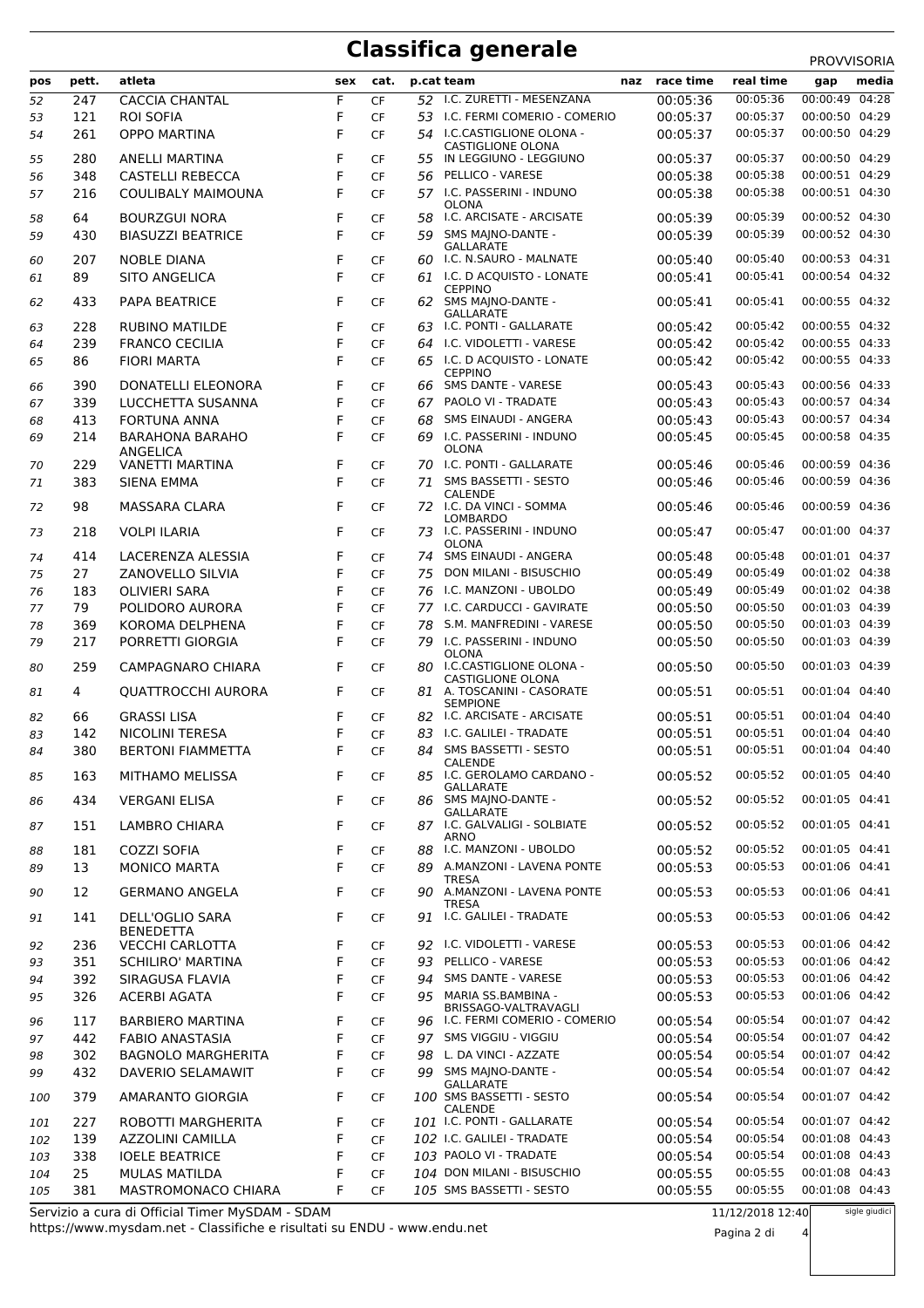## **Classifica generale** PROVVISORIA

| pos      | pett. | atleta                             | sex    | cat.      |    | p.cat team                                              | naz | race time | real time            | gap                              | media |
|----------|-------|------------------------------------|--------|-----------|----|---------------------------------------------------------|-----|-----------|----------------------|----------------------------------|-------|
| 52       | 247   | <b>CACCIA CHANTAL</b>              | F      | CF        | 52 | I.C. ZURETTI - MESENZANA                                |     | 00:05:36  | 00:05:36             | 00:00:49 04:28                   |       |
| 53       | 121   | <b>ROI SOFIA</b>                   | F      | <b>CF</b> |    | 53 I.C. FERMI COMERIO - COMERIO                         |     | 00:05:37  | 00:05:37             | 00:00:50 04:29                   |       |
| 54       | 261   | <b>OPPO MARTINA</b>                | F      | CF        |    | 54 I.C.CASTIGLIONE OLONA -                              |     | 00:05:37  | 00:05:37             | 00:00:50 04:29                   |       |
|          |       |                                    |        |           |    | CASTIGLIONE OLONA                                       |     |           |                      |                                  |       |
| 55       | 280   | <b>ANELLI MARTINA</b>              | F      | CF        | 55 | IN LEGGIUNO - LEGGIUNO                                  |     | 00:05:37  | 00:05:37             | 00:00:50 04:29                   |       |
| 56       | 348   | <b>CASTELLI REBECCA</b>            | F      | CF        | 56 | PELLICO - VARESE                                        |     | 00:05:38  | 00:05:38             | 00:00:51 04:29                   |       |
| 57       | 216   | COULIBALY MAIMOUNA                 | F      | CF        |    | 57 I.C. PASSERINI - INDUNO<br><b>OLONA</b>              |     | 00:05:38  | 00:05:38             | 00:00:51 04:30                   |       |
| 58       | 64    | <b>BOURZGUI NORA</b>               | F      | CF        | 58 | I.C. ARCISATE - ARCISATE                                |     | 00:05:39  | 00:05:39             | 00:00:52 04:30                   |       |
| 59       | 430   | <b>BIASUZZI BEATRICE</b>           | F      | <b>CF</b> | 59 | SMS MAINO-DANTE -                                       |     | 00:05:39  | 00:05:39             | 00:00:52 04:30                   |       |
|          | 207   | <b>NOBLE DIANA</b>                 | F      | CF        | 60 | <b>GALLARATE</b><br>I.C. N.SAURO - MALNATE              |     | 00:05:40  | 00:05:40             | 00:00:53 04:31                   |       |
| 60<br>61 | 89    | <b>SITO ANGELICA</b>               | F      | CF        | 61 | I.C. D ACQUISTO - LONATE                                |     | 00:05:41  | 00:05:41             | 00:00:54 04:32                   |       |
|          |       |                                    |        |           |    | <b>CEPPINO</b>                                          |     |           |                      |                                  |       |
| 62       | 433   | PAPA BEATRICE                      | F      | CF        |    | 62 SMS MAJNO-DANTE -                                    |     | 00:05:41  | 00:05:41             | 00:00:55 04:32                   |       |
| 63       | 228   | <b>RUBINO MATILDE</b>              | F      | <b>CF</b> |    | <b>GALLARATE</b><br>63 I.C. PONTI - GALLARATE           |     | 00:05:42  | 00:05:42             | 00:00:55 04:32                   |       |
| 64       | 239   | <b>FRANCO CECILIA</b>              | F      | CF        |    | 64 I.C. VIDOLETTI - VARESE                              |     | 00:05:42  | 00:05:42             | 00:00:55 04:33                   |       |
| 65       | 86    | <b>FIORI MARTA</b>                 | F      | <b>CF</b> |    | 65 I.C. D ACQUISTO - LONATE                             |     | 00:05:42  | 00:05:42             | 00:00:55 04:33                   |       |
|          |       |                                    |        |           |    | <b>CEPPINO</b>                                          |     |           |                      |                                  |       |
| 66       | 390   | DONATELLI ELEONORA                 | F      | CF        |    | 66 SMS DANTE - VARESE                                   |     | 00:05:43  | 00:05:43             | 00:00:56 04:33                   |       |
| 67       | 339   | LUCCHETTA SUSANNA                  | F      | CF        |    | 67 PAOLO VI - TRADATE                                   |     | 00:05:43  | 00:05:43             | 00:00:57 04:34                   |       |
| 68       | 413   | FORTUNA ANNA                       | F      | <b>CF</b> | 68 | SMS EINAUDI - ANGERA                                    |     | 00:05:43  | 00:05:43             | 00:00:57 04:34                   |       |
| 69       | 214   | <b>BARAHONA BARAHO</b><br>ANGELICA | F      | CF        |    | 69 I.C. PASSERINI - INDUNO<br><b>OLONA</b>              |     | 00:05:45  | 00:05:45             | 00:00:58 04:35                   |       |
| 70       | 229   | <b>VANETTI MARTINA</b>             | F      | CF        | 70 | I.C. PONTI - GALLARATE                                  |     | 00:05:46  | 00:05:46             | 00:00:59 04:36                   |       |
| 71       | 383   | <b>SIENA EMMA</b>                  | F      | CF        | 71 | SMS BASSETTI - SESTO                                    |     | 00:05:46  | 00:05:46             | 00:00:59 04:36                   |       |
|          |       |                                    |        |           |    | <b>CALENDE</b>                                          |     |           |                      |                                  |       |
| 72       | 98    | MASSARA CLARA                      | F      | CF        |    | 72 I.C. DA VINCI - SOMMA<br>LOMBARDO                    |     | 00:05:46  | 00:05:46             | 00:00:59 04:36                   |       |
| 73       | 218   | <b>VOLPI ILARIA</b>                | F      | CF        |    | 73 I.C. PASSERINI - INDUNO                              |     | 00:05:47  | 00:05:47             | 00:01:00 04:37                   |       |
|          |       |                                    |        |           |    | <b>OLONA</b>                                            |     |           |                      |                                  |       |
| 74       | 414   | LACERENZA ALESSIA                  | F      | CF        | 74 | SMS EINAUDI - ANGERA                                    |     | 00:05:48  | 00:05:48             | 00:01:01 04:37                   |       |
| 75       | 27    | ZANOVELLO SILVIA                   | F      | <b>CF</b> | 75 | DON MILANI - BISUSCHIO                                  |     | 00:05:49  | 00:05:49             | 00:01:02 04:38                   |       |
| 76       | 183   | <b>OLIVIERI SARA</b>               | F      | CF        | 76 | I.C. MANZONI - UBOLDO                                   |     | 00:05:49  | 00:05:49             | 00:01:02 04:38                   |       |
| 77       | 79    | POLIDORO AURORA                    | F<br>F | CF        |    | 77 I.C. CARDUCCI - GAVIRATE                             |     | 00:05:50  | 00:05:50             | 00:01:03 04:39<br>00:01:03 04:39 |       |
| 78       | 369   | KOROMA DELPHENA                    | F      | CF        | 78 | S.M. MANFREDINI - VARESE<br>I.C. PASSERINI - INDUNO     |     | 00:05:50  | 00:05:50<br>00:05:50 | 00:01:03 04:39                   |       |
| 79       | 217   | PORRETTI GIORGIA                   |        | CF        | 79 | <b>OLONA</b>                                            |     | 00:05:50  |                      |                                  |       |
| 80       | 259   | CAMPAGNARO CHIARA                  | F      | CF        |    | 80 I.C.CASTIGLIONE OLONA -                              |     | 00:05:50  | 00:05:50             | 00:01:03 04:39                   |       |
| 81       | 4     | <b>QUATTROCCHI AURORA</b>          | F      | CF        |    | <b>CASTIGLIONE OLONA</b><br>81 A. TOSCANINI - CASORATE  |     | 00:05:51  | 00:05:51             | 00:01:04 04:40                   |       |
|          |       |                                    |        |           |    | <b>SEMPIONE</b>                                         |     |           |                      |                                  |       |
| 82       | 66    | <b>GRASSI LISA</b>                 | F      | CF        | 82 | I.C. ARCISATE - ARCISATE                                |     | 00:05:51  | 00:05:51             | 00:01:04 04:40                   |       |
| 83       | 142   | <b>NICOLINI TERESA</b>             | F      | CF        | 83 | I.C. GALILEI - TRADATE                                  |     | 00:05:51  | 00:05:51             | 00:01:04 04:40                   |       |
| 84       | 380   | <b>BERTONI FIAMMETTA</b>           | F      | CF        | 84 | SMS BASSETTI - SESTO<br>CALENDE                         |     | 00:05:51  | 00:05:51             | 00:01:04 04:40                   |       |
| 85       | 163   | <b>MITHAMO MELISSA</b>             | F      | CF        |    | 85 I.C. GEROLAMO CARDANO -                              |     | 00:05:52  | 00:05:52             | 00:01:05 04:40                   |       |
|          |       |                                    |        |           |    | <b>GALLARATE</b>                                        |     |           |                      |                                  |       |
| 86       | 434   | <b>VERGANI ELISA</b>               | F      | CF        | 86 | SMS MAJNO-DANTE -<br><b>GALLARATE</b>                   |     | 00:05:52  | 00:05:52             | 00:01:05 04:41                   |       |
| 87       | 151   | LAMBRO CHIARA                      | F      | <b>CF</b> |    | 87 I.C. GALVALIGI - SOLBIATE                            |     | 00:05:52  | 00:05:52             | 00:01:05 04:41                   |       |
|          | 181   | COZZI SOFIA                        | F      | CF        |    | <b>ARNO</b><br>88 I.C. MANZONI - UBOLDO                 |     | 00:05:52  | 00:05:52             | 00:01:05 04:41                   |       |
| 88<br>89 | 13    | <b>MONICO MARTA</b>                | F      | <b>CF</b> |    | 89 A.MANZONI - LAVENA PONTE                             |     | 00:05:53  | 00:05:53             | 00:01:06 04:41                   |       |
|          |       |                                    |        |           |    | <b>TRESA</b>                                            |     |           |                      |                                  |       |
| 90       | 12    | <b>GERMANO ANGELA</b>              | F      | CF        |    | 90 A.MANZONI - LAVENA PONTE                             |     | 00:05:53  | 00:05:53             | 00:01:06 04:41                   |       |
| 91       | 141   | DELL'OGLIO SARA                    | F      | CF        |    | <b>TRESA</b><br>91 I.C. GALILEI - TRADATE               |     | 00:05:53  | 00:05:53             | 00:01:06 04:42                   |       |
|          |       | BENEDETTA                          |        |           |    |                                                         |     |           |                      |                                  |       |
| 92       | 236   | <b>VECCHI CARLOTTA</b>             | F      | CF        |    | 92 I.C. VIDOLETTI - VARESE                              |     | 00:05:53  | 00:05:53             | 00:01:06 04:42                   |       |
| 93       | 351   | <b>SCHILIRO' MARTINA</b>           | F      | CF        | 93 | PELLICO - VARESE                                        |     | 00:05:53  | 00:05:53             | 00:01:06 04:42                   |       |
| 94       | 392   | SIRAGUSA FLAVIA                    | F      | CF        |    | 94 SMS DANTE - VARESE                                   |     | 00:05:53  | 00:05:53             | 00:01:06 04:42                   |       |
| 95       | 326   | <b>ACERBI AGATA</b>                | F      | <b>CF</b> |    | 95 MARIA SS.BAMBINA -                                   |     | 00:05:53  | 00:05:53             | 00:01:06 04:42                   |       |
| 96       | 117   | <b>BARBIERO MARTINA</b>            | F      | CF        |    | BRISSAGO-VALTRAVAGLI<br>96 I.C. FERMI COMERIO - COMERIO |     | 00:05:54  | 00:05:54             | 00:01:07 04:42                   |       |
| 97       | 442   | FABIO ANASTASIA                    | F      | CF        |    | 97 SMS VIGGIU - VIGGIU                                  |     | 00:05:54  | 00:05:54             | 00:01:07 04:42                   |       |
| 98       | 302   | BAGNOLO MARGHERITA                 | F      | <b>CF</b> | 98 | L. DA VINCI - AZZATE                                    |     | 00:05:54  | 00:05:54             | 00:01:07 04:42                   |       |
| 99       | 432   | DAVERIO SELAMAWIT                  | F      | <b>CF</b> |    | 99 SMS MAJNO-DANTE -                                    |     | 00:05:54  | 00:05:54             | 00:01:07 04:42                   |       |
|          |       |                                    |        |           |    | <b>GALLARATE</b>                                        |     |           |                      |                                  |       |
| 100      | 379   | AMARANTO GIORGIA                   | F      | <b>CF</b> |    | 100 SMS BASSETTI - SESTO<br><b>CALENDE</b>              |     | 00:05:54  | 00:05:54             | 00:01:07 04:42                   |       |
| 101      | 227   | ROBOTTI MARGHERITA                 | F      | CF        |    | 101 I.C. PONTI - GALLARATE                              |     | 00:05:54  | 00:05:54             | 00:01:07 04:42                   |       |
| 102      | 139   | <b>AZZOLINI CAMILLA</b>            | F      | <b>CF</b> |    | 102 I.C. GALILEI - TRADATE                              |     | 00:05:54  | 00:05:54             | 00:01:08 04:43                   |       |
| 103      | 338   | <b>IOELE BEATRICE</b>              | F      | CF        |    | 103 PAOLO VI - TRADATE                                  |     | 00:05:54  | 00:05:54             | 00:01:08 04:43                   |       |
| 104      | 25    | MULAS MATILDA                      | F      | CF        |    | 104 DON MILANI - BISUSCHIO                              |     | 00:05:55  | 00:05:55             | 00:01:08 04:43                   |       |
| 105      | 381   | MASTROMONACO CHIARA                | F      | <b>CF</b> |    | 105 SMS BASSETTI - SESTO                                |     | 00:05:55  | 00:05:55             | 00:01:08 04:43                   |       |

https://www.mysdam.net - Classifiche e risultati su ENDU - www.endu.net Servizio a cura di Official Timer MySDAM - SDAM

Pagina 2 di 4

sigle giudici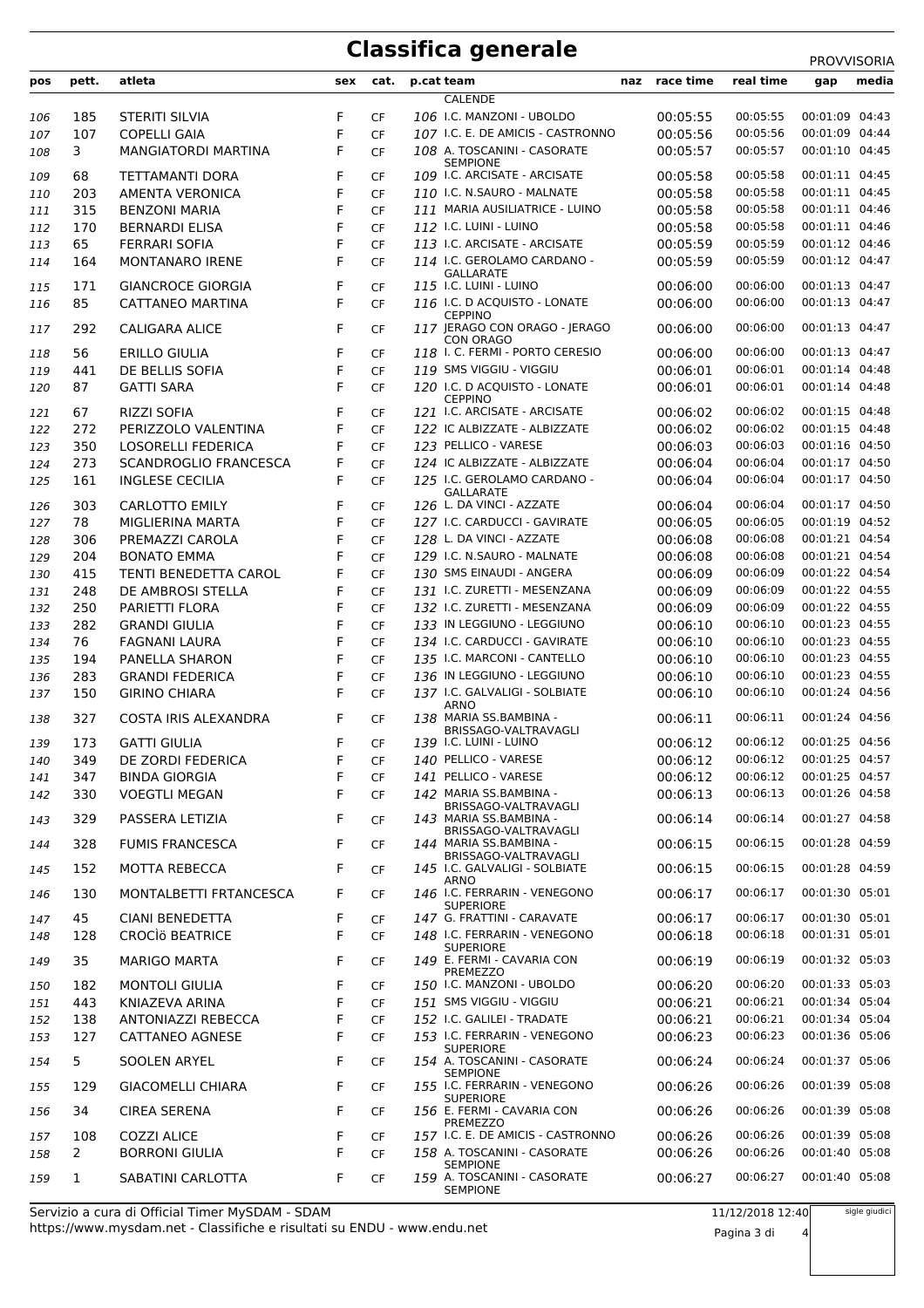## **Classifica generale** PROVVISORIA

**pos pett. atleta sex cat. p.cat team naz race time real time gap media** CALENDE 185 STERITI SILVIA F CF *106* I.C. MANZONI - UBOLDO 00:05:55 00:05:55 00:01:09 04:43 107 COPELLI GAIA F CF *107* I.C. E. DE AMICIS - CASTRONNO 00:05:56 00:05:56 00:01:09 04:44 MANGIATORDI MARTINA F CF A. TOSCANINI - CASORATE *108* 00:05:57 00:05:57 00:01:10 04:45 SEMPIONE 68 TETTAMANTI DORA F CF *109* I.C. ARCISATE - ARCISATE 00:05:58 00:05:58 00:01:11 04:45 203 AMENTA VERONICA F CF *110* I.C. N.SAURO - MALNATE 00:05:58 00:05:58 00:01:11 04:45 315 BENZONI MARIA F CF *111* MARIA AUSILIATRICE - LUINO 00:05:58 00:05:58 00:01:11 04:46 170 BERNARDI ELISA F CF *112* I.C. LUINI - LUINO 00:05:58 00:05:58 00:01:11 04:46 65 FERRARI SOFIA F CF *113* I.C. ARCISATE - ARCISATE 00:05:59 00:05:59 00:01:12 04:46 MONTANARO IRENE F CF I.C. GEROLAMO CARDANO - *114* 00:05:59 00:05:59 00:01:12 04:47 GALLARATE<br>115 I.C. LUINI - LUINO 171 GIANCROCE GIORGIA F CF *115* I.C. LUINI - LUINO 00:06:00 00:06:00 00:01:13 04:47 CATTANEO MARTINA F CF I.C. D ACQUISTO - LONATE *116* 00:06:00 00:06:00 00:01:13 04:47 **CEPPINO**  CALIGARA ALICE F CF JERAGO CON ORAGO - JERAGO *117* 00:06:00 00:06:00 00:01:13 04:47 CON ORAGO 56 ERILLO GIULIA F CF *118* I. C. FERMI - PORTO CERESIO 00:06:00 00:06:00 00:01:13 04:47 441 DE BELLIS SOFIA F CF *119* SMS VIGGIU - VIGGIU 00:06:01 00:06:01 00:01:14 04:48 GATTI SARA F CF I.C. D ACQUISTO - LONATE *120* 00:06:01 00:06:01 00:01:14 04:48 **CEPPINO**  67 RIZZI SOFIA F CF *121* I.C. ARCISATE - ARCISATE 00:06:02 00:06:02 00:01:15 04:48 272 PERIZZOLO VALENTINA F CF *122* IC ALBIZZATE - ALBIZZATE 00:06:02 00:06:02 00:01:15 04:48 350 LOSORELLI FEDERICA F CF *123* PELLICO - VARESE 00:06:03 00:06:03 00:01:16 04:50 273 SCANDROGLIO FRANCESCA F CF *124* IC ALBIZZATE - ALBIZZATE 00:06:04 00:06:04 00:01:17 04:50 INGLESE CECILIA F CF I.C. GEROLAMO CARDANO - *125* 00:06:04 00:06:04 00:01:17 04:50 GALLARATE<br>L. DA VINCI - AZZATE 303 CARLOTTO EMILY F CF *126* L. DA VINCI - AZZATE 00:06:04 00:06:04 00:01:17 04:50 78 MIGLIERINA MARTA F CF *127* I.C. CARDUCCI - GAVIRATE 00:06:05 00:06:05 00:01:19 04:52 306 PREMAZZI CAROLA F CF *128* L. DA VINCI - AZZATE 00:06:08 00:06:08 00:01:21 04:54 204 BONATO EMMA F CF *129* I.C. N.SAURO - MALNATE 00:06:08 00:06:08 00:01:21 04:54 415 TENTI BENEDETTA CAROL F CF *130* SMS EINAUDI - ANGERA 00:06:09 00:06:09 00:01:22 04:54 248 DE AMBROSI STELLA F CF *131* I.C. ZURETTI - MESENZANA 00:06:09 00:06:09 00:01:22 04:55 250 PARIETTI FLORA F CF *132* I.C. ZURETTI - MESENZANA 00:06:09 00:06:09 00:01:22 04:55 282 GRANDI GIULIA F CF *133* IN LEGGIUNO - LEGGIUNO 00:06:10 00:06:10 00:01:23 04:55 76 FAGNANI LAURA F CF *134* I.C. CARDUCCI - GAVIRATE 00:06:10 00:06:10 00:01:23 04:55 194 PANELLA SHARON F CF *135* I.C. MARCONI - CANTELLO 00:06:10 00:06:10 00:01:23 04:55 283 GRANDI FEDERICA F CF *136* IN LEGGIUNO - LEGGIUNO 00:06:10 00:06:10 00:01:23 04:55 GIRINO CHIARA F CF I.C. GALVALIGI - SOLBIATE *137* 00:06:10 00:06:10 00:01:24 04:56 ARNO<br>MARIA SS.BAMBINA COSTA IRIS ALEXANDRA F CF MARIA SS.BAMBINA - *138* 00:06:11 00:06:11 00:01:24 04:56 BRISSAGO-VALTRAVAGLI<br>139 L.C. LUINI - LUINO 173 GATTI GIULIA F CF *139* I.C. LUINI - LUINO 00:06:12 00:06:12 00:01:25 04:56 349 DE ZORDI FEDERICA F CF *140* PELLICO - VARESE 00:06:12 00:06:12 00:01:25 04:57 347 BINDA GIORGIA F CF *141* PELLICO - VARESE 00:06:12 00:06:12 00:01:25 04:57 330 VOEGTLI MEGAN F CF 142 MARIA SS.BAMBINA BRISSAGO-VALTRAVAGLI<br>MARIA SS.BAMBINA - *142* 00:06:13 00:06:13 00:01:26 04:58 PASSERA LETIZIA F CF MARIA SS.BAMBINA - *143* 00:06:14 00:06:14 00:01:27 04:58 BRISSAGO-VALTRAVAGLI<br>MARIA SS.BAMBINA - FUMIS FRANCESCA F CF MARIA SS.BAMBINA - *144* 00:06:15 00:06:15 00:01:28 04:59 BRISSAGO-VALTRAVAGLI MOTTA REBECCA F CF I.C. GALVALIGI - SOLBIATE *145* 00:06:15 00:06:15 00:01:28 04:59 ARNO<br>I.C. FERRARIN - VENEGONO MONTALBETTI FRTANCESCA F CF I.C. FERRARIN - VENEGONO *146* 00:06:17 00:06:17 00:01:30 05:01 SUPERIORE 45 CIANI BENEDETTA F CF *147* G. FRATTINI - CARAVATE 00:06:17 00:06:17 00:01:30 05:01 CROCÌö BEATRICE F CF I.C. FERRARIN - VENEGONO *148* 00:06:18 00:06:18 00:01:31 05:01 **SUPERIORE**  MARIGO MARTA F CF E. FERMI - CAVARIA CON *149* 00:06:19 00:06:19 00:01:32 05:03 PREMEZZO 182 MONTOLI GIULIA F CF *150* I.C. MANZONI - UBOLDO 00:06:20 00:06:20 00:01:33 05:03 443 KNIAZEVA ARINA F CF *151* SMS VIGGIU - VIGGIU 00:06:21 00:06:21 00:01:34 05:04 138 ANTONIAZZI REBECCA F CF *152* I.C. GALILEI - TRADATE 00:06:21 00:06:21 00:01:34 05:04 CATTANEO AGNESE F CF I.C. FERRARIN - VENEGONO *153* 00:06:23 00:06:23 00:01:36 05:06 SUPERIORE<br>A. TOSCANINI - CASORATE SOOLEN ARYEL F CF A. TOSCANINI - CASORATE *154* 00:06:24 00:06:24 00:01:37 05:06 SEMPIONE GIACOMELLI CHIARA F CF I.C. FERRARIN - VENEGONO *155* 00:06:26 00:06:26 00:01:39 05:08 **SUPERIORE**  CIREA SERENA F CF E. FERMI - CAVARIA CON *156* 00:06:26 00:06:26 00:01:39 05:08 PREMEZZO 108 COZZI ALICE F CF *157* I.C. E. DE AMICIS - CASTRONNO 00:06:26 00:06:26 00:01:39 05:08 2 BORRONI GIULIA F CF 158 A. TOSCANINI - CASORATE SEMPIONE *158* 00:06:26 00:06:26 00:01:40 05:08 SABATINI CARLOTTA F CF A. TOSCANINI - CASORATE *159* 00:06:27 00:06:27 00:01:40 05:08 SEMPIONE

https://www.mysdam.net - Classifiche e risultati su ENDU - www.endu.net Servizio a cura di Official Timer MySDAM - SDAM

sigle giudici